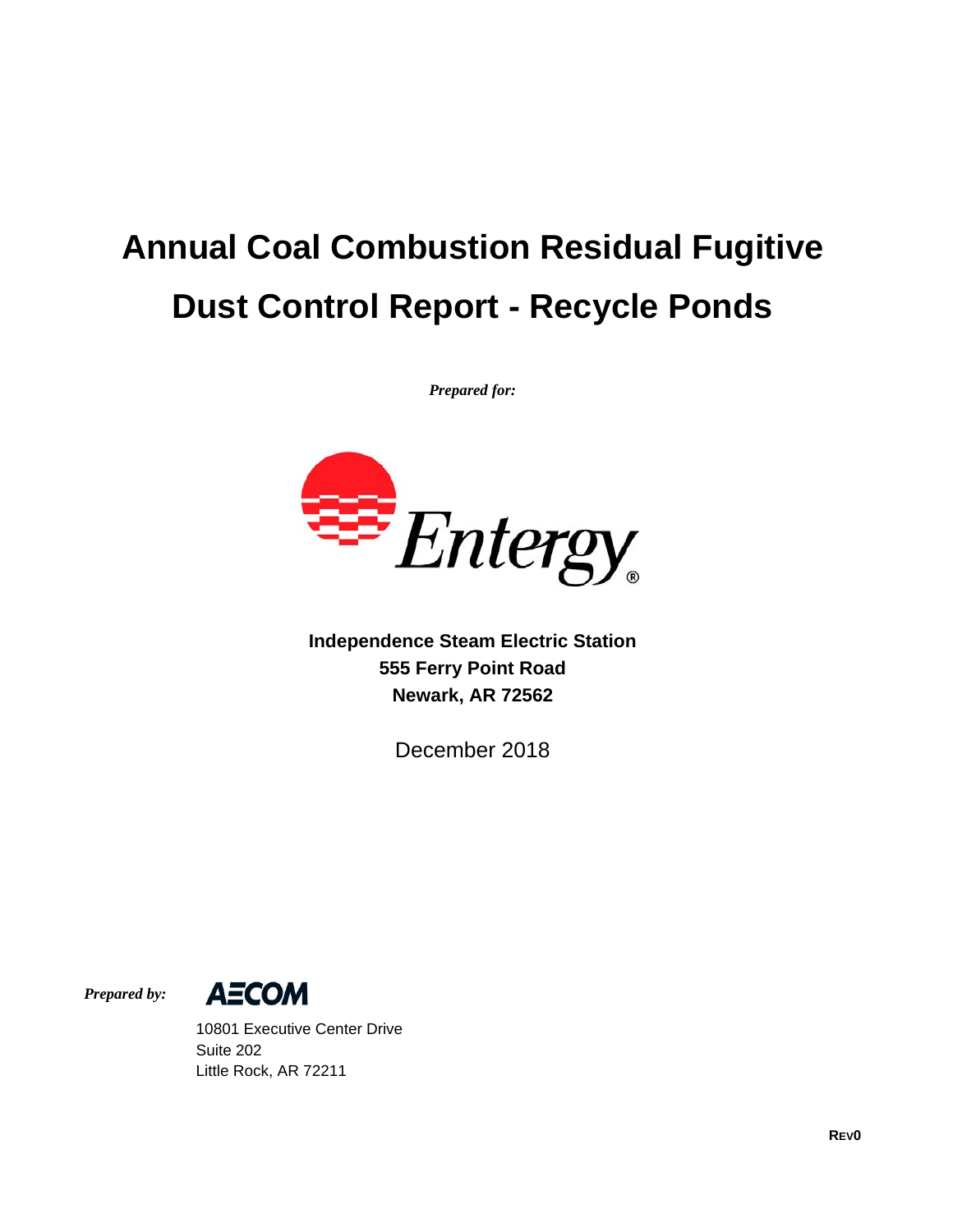# **Annual Coal Combustion Residual Fugitive Dust Control Report - Recycle Ponds**

*Prepared for:* 



**Independence Steam Electric Station 555 Ferry Point Road Newark, AR 72562** 

December 2018

*Prepared by:* 



 10801 Executive Center Drive Suite 202 Little Rock, AR 72211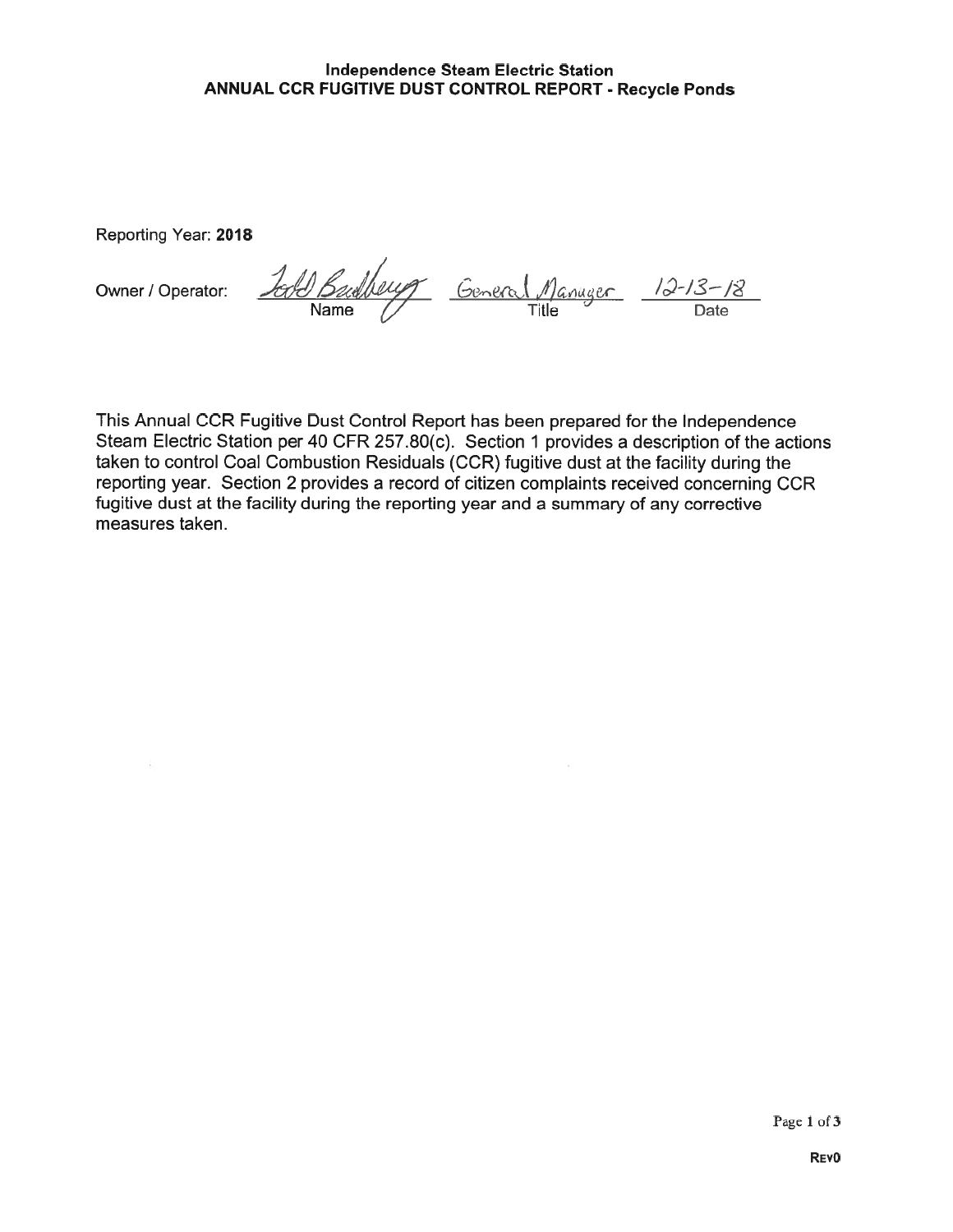#### Independence Steam Electric Station ANNUAL CCR FUGITIVE DUST CONTROL REPORT - Recycle Ponds

Reporting Year: 2018

Owner / Operator:

-65

Budberry General Manager 12-13-18<br>Name Title Title Date

This Annual OCR Fugitive Dust Control Report has been prepared for the Independence Steam Electric Station per 40 CFR 257.80(c). Section <sup>1</sup> provides a description of the actions taken to control Coal Combustion Residuals (OCR) fugitive dust at the facility during the reporting year. Section 2 provides a record of citizen complaints received concerning OCR fugitive dust at the facility during the reporting year and a summary of any corrective measures taken.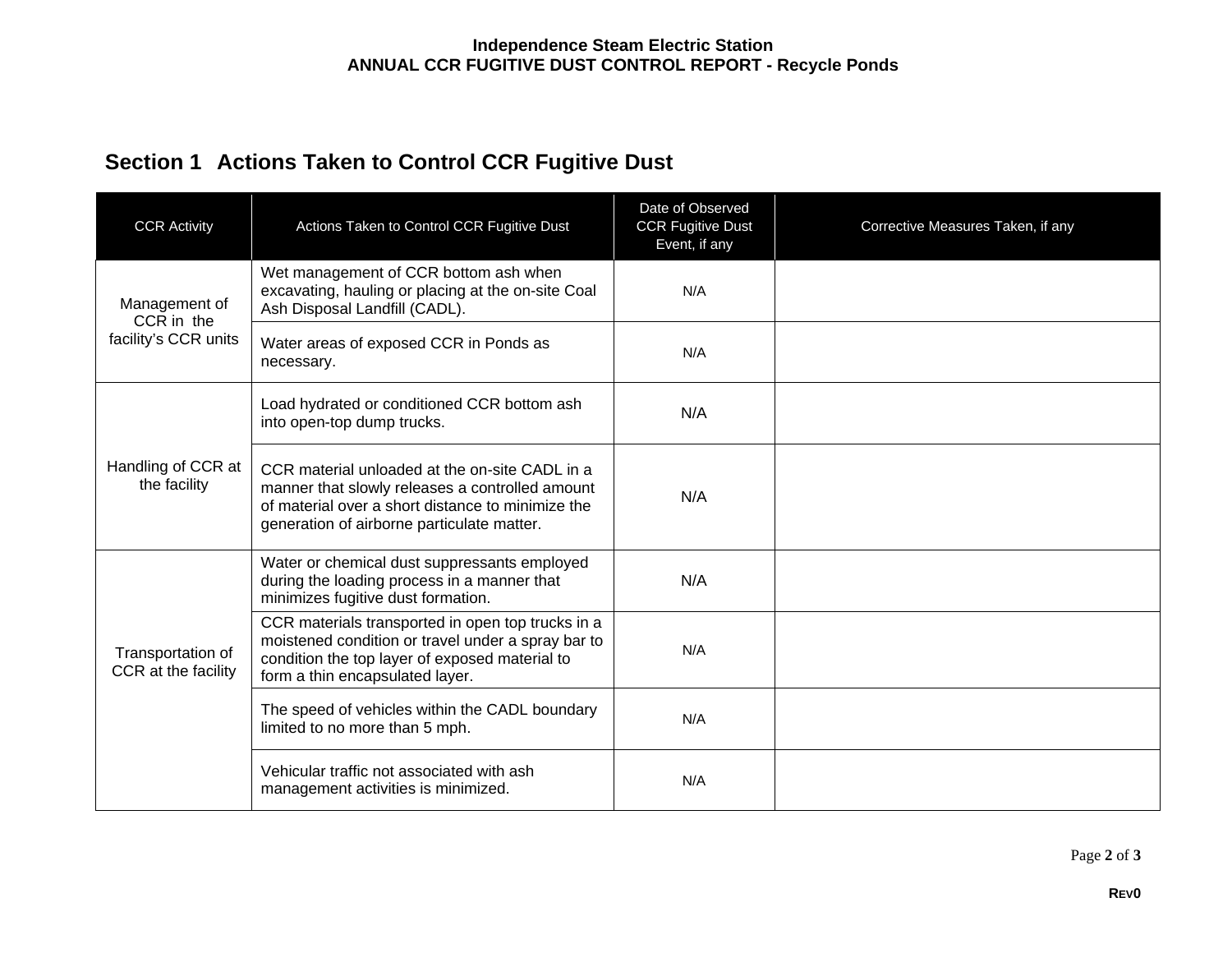## **Section 1 Actions Taken to Control CCR Fugitive Dust**

| <b>CCR Activity</b>                                 | Actions Taken to Control CCR Fugitive Dust                                                                                                                                                           | Date of Observed<br><b>CCR Fugitive Dust</b><br>Event, if any | Corrective Measures Taken, if any |
|-----------------------------------------------------|------------------------------------------------------------------------------------------------------------------------------------------------------------------------------------------------------|---------------------------------------------------------------|-----------------------------------|
| Management of<br>CCR in the<br>facility's CCR units | Wet management of CCR bottom ash when<br>excavating, hauling or placing at the on-site Coal<br>Ash Disposal Landfill (CADL).                                                                         | N/A                                                           |                                   |
|                                                     | Water areas of exposed CCR in Ponds as<br>necessary.                                                                                                                                                 | N/A                                                           |                                   |
| Handling of CCR at<br>the facility                  | Load hydrated or conditioned CCR bottom ash<br>into open-top dump trucks.                                                                                                                            | N/A                                                           |                                   |
|                                                     | CCR material unloaded at the on-site CADL in a<br>manner that slowly releases a controlled amount<br>of material over a short distance to minimize the<br>generation of airborne particulate matter. | N/A                                                           |                                   |
|                                                     | Water or chemical dust suppressants employed<br>during the loading process in a manner that<br>minimizes fugitive dust formation.                                                                    | N/A                                                           |                                   |
| Transportation of<br>CCR at the facility            | CCR materials transported in open top trucks in a<br>moistened condition or travel under a spray bar to<br>condition the top layer of exposed material to<br>form a thin encapsulated layer.         | N/A                                                           |                                   |
|                                                     | The speed of vehicles within the CADL boundary<br>limited to no more than 5 mph.                                                                                                                     | N/A                                                           |                                   |
|                                                     | Vehicular traffic not associated with ash<br>management activities is minimized.                                                                                                                     | N/A                                                           |                                   |